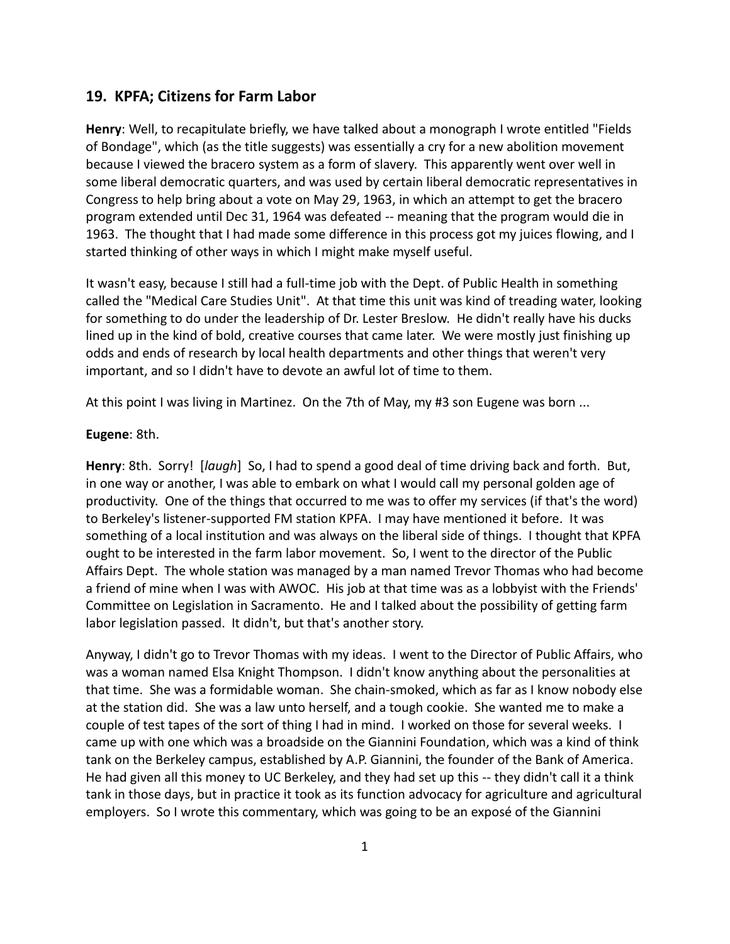## **19. KPFA; Citizens for Farm Labor**

**Henry**: Well, to recapitulate briefly, we have talked about a monograph I wrote entitled "Fields of Bondage", which (as the title suggests) was essentially a cry for a new abolition movement because I viewed the bracero system as a form of slavery. This apparently went over well in some liberal democratic quarters, and was used by certain liberal democratic representatives in Congress to help bring about a vote on May 29, 1963, in which an attempt to get the bracero program extended until Dec 31, 1964 was defeated -- meaning that the program would die in 1963. The thought that I had made some difference in this process got my juices flowing, and I started thinking of other ways in which I might make myself useful.

It wasn't easy, because I still had a full-time job with the Dept. of Public Health in something called the "Medical Care Studies Unit". At that time this unit was kind of treading water, looking for something to do under the leadership of Dr. Lester Breslow. He didn't really have his ducks lined up in the kind of bold, creative courses that came later. We were mostly just finishing up odds and ends of research by local health departments and other things that weren't very important, and so I didn't have to devote an awful lot of time to them.

At this point I was living in Martinez. On the 7th of May, my #3 son Eugene was born ...

## **Eugene**: 8th.

**Henry**: 8th. Sorry! [*laugh*] So, I had to spend a good deal of time driving back and forth. But, in one way or another, I was able to embark on what I would call my personal golden age of productivity. One of the things that occurred to me was to offer my services (if that's the word) to Berkeley's listener-supported FM station KPFA. I may have mentioned it before. It was something of a local institution and was always on the liberal side of things. I thought that KPFA ought to be interested in the farm labor movement. So, I went to the director of the Public Affairs Dept. The whole station was managed by a man named Trevor Thomas who had become a friend of mine when I was with AWOC. His job at that time was as a lobbyist with the Friends' Committee on Legislation in Sacramento. He and I talked about the possibility of getting farm labor legislation passed. It didn't, but that's another story.

Anyway, I didn't go to Trevor Thomas with my ideas. I went to the Director of Public Affairs, who was a woman named Elsa Knight Thompson. I didn't know anything about the personalities at that time. She was a formidable woman. She chain-smoked, which as far as I know nobody else at the station did. She was a law unto herself, and a tough cookie. She wanted me to make a couple of test tapes of the sort of thing I had in mind. I worked on those for several weeks. I came up with one which was a broadside on the Giannini Foundation, which was a kind of think tank on the Berkeley campus, established by A.P. Giannini, the founder of the Bank of America. He had given all this money to UC Berkeley, and they had set up this -- they didn't call it a think tank in those days, but in practice it took as its function advocacy for agriculture and agricultural employers. So I wrote this commentary, which was going to be an exposé of the Giannini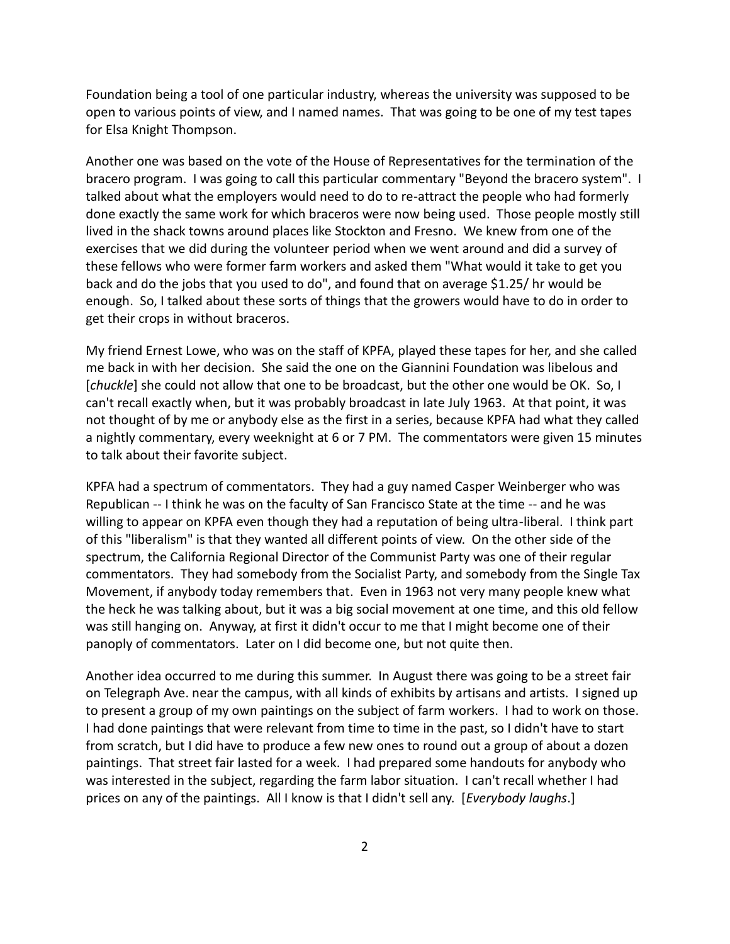Foundation being a tool of one particular industry, whereas the university was supposed to be open to various points of view, and I named names. That was going to be one of my test tapes for Elsa Knight Thompson.

Another one was based on the vote of the House of Representatives for the termination of the bracero program. I was going to call this particular commentary "Beyond the bracero system". I talked about what the employers would need to do to re-attract the people who had formerly done exactly the same work for which braceros were now being used. Those people mostly still lived in the shack towns around places like Stockton and Fresno. We knew from one of the exercises that we did during the volunteer period when we went around and did a survey of these fellows who were former farm workers and asked them "What would it take to get you back and do the jobs that you used to do", and found that on average \$1.25/ hr would be enough. So, I talked about these sorts of things that the growers would have to do in order to get their crops in without braceros.

My friend Ernest Lowe, who was on the staff of KPFA, played these tapes for her, and she called me back in with her decision. She said the one on the Giannini Foundation was libelous and [*chuckle*] she could not allow that one to be broadcast, but the other one would be OK. So, I can't recall exactly when, but it was probably broadcast in late July 1963. At that point, it was not thought of by me or anybody else as the first in a series, because KPFA had what they called a nightly commentary, every weeknight at 6 or 7 PM. The commentators were given 15 minutes to talk about their favorite subject.

KPFA had a spectrum of commentators. They had a guy named Casper Weinberger who was Republican -- I think he was on the faculty of San Francisco State at the time -- and he was willing to appear on KPFA even though they had a reputation of being ultra-liberal. I think part of this "liberalism" is that they wanted all different points of view. On the other side of the spectrum, the California Regional Director of the Communist Party was one of their regular commentators. They had somebody from the Socialist Party, and somebody from the Single Tax Movement, if anybody today remembers that. Even in 1963 not very many people knew what the heck he was talking about, but it was a big social movement at one time, and this old fellow was still hanging on. Anyway, at first it didn't occur to me that I might become one of their panoply of commentators. Later on I did become one, but not quite then.

Another idea occurred to me during this summer. In August there was going to be a street fair on Telegraph Ave. near the campus, with all kinds of exhibits by artisans and artists. I signed up to present a group of my own paintings on the subject of farm workers. I had to work on those. I had done paintings that were relevant from time to time in the past, so I didn't have to start from scratch, but I did have to produce a few new ones to round out a group of about a dozen paintings. That street fair lasted for a week. I had prepared some handouts for anybody who was interested in the subject, regarding the farm labor situation. I can't recall whether I had prices on any of the paintings. All I know is that I didn't sell any. [*Everybody laughs*.]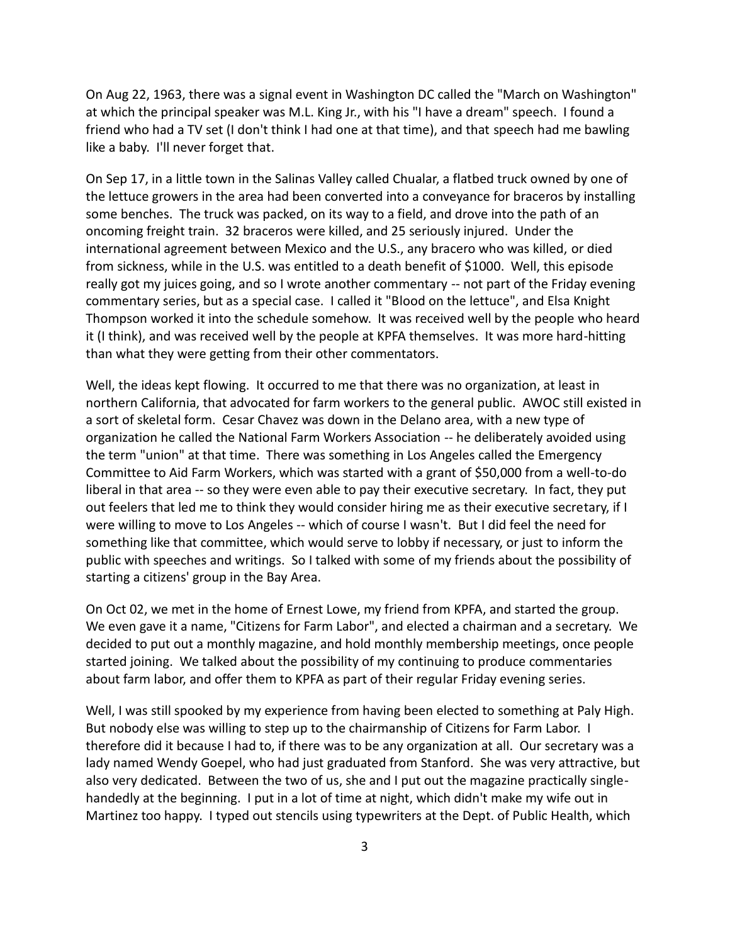On Aug 22, 1963, there was a signal event in Washington DC called the "March on Washington" at which the principal speaker was M.L. King Jr., with his "I have a dream" speech. I found a friend who had a TV set (I don't think I had one at that time), and that speech had me bawling like a baby. I'll never forget that.

On Sep 17, in a little town in the Salinas Valley called Chualar, a flatbed truck owned by one of the lettuce growers in the area had been converted into a conveyance for braceros by installing some benches. The truck was packed, on its way to a field, and drove into the path of an oncoming freight train. 32 braceros were killed, and 25 seriously injured. Under the international agreement between Mexico and the U.S., any bracero who was killed, or died from sickness, while in the U.S. was entitled to a death benefit of \$1000. Well, this episode really got my juices going, and so I wrote another commentary -- not part of the Friday evening commentary series, but as a special case. I called it "Blood on the lettuce", and Elsa Knight Thompson worked it into the schedule somehow. It was received well by the people who heard it (I think), and was received well by the people at KPFA themselves. It was more hard-hitting than what they were getting from their other commentators.

Well, the ideas kept flowing. It occurred to me that there was no organization, at least in northern California, that advocated for farm workers to the general public. AWOC still existed in a sort of skeletal form. Cesar Chavez was down in the Delano area, with a new type of organization he called the National Farm Workers Association -- he deliberately avoided using the term "union" at that time. There was something in Los Angeles called the Emergency Committee to Aid Farm Workers, which was started with a grant of \$50,000 from a well-to-do liberal in that area -- so they were even able to pay their executive secretary. In fact, they put out feelers that led me to think they would consider hiring me as their executive secretary, if I were willing to move to Los Angeles -- which of course I wasn't. But I did feel the need for something like that committee, which would serve to lobby if necessary, or just to inform the public with speeches and writings. So I talked with some of my friends about the possibility of starting a citizens' group in the Bay Area.

On Oct 02, we met in the home of Ernest Lowe, my friend from KPFA, and started the group. We even gave it a name, "Citizens for Farm Labor", and elected a chairman and a secretary. We decided to put out a monthly magazine, and hold monthly membership meetings, once people started joining. We talked about the possibility of my continuing to produce commentaries about farm labor, and offer them to KPFA as part of their regular Friday evening series.

Well, I was still spooked by my experience from having been elected to something at Paly High. But nobody else was willing to step up to the chairmanship of Citizens for Farm Labor. I therefore did it because I had to, if there was to be any organization at all. Our secretary was a lady named Wendy Goepel, who had just graduated from Stanford. She was very attractive, but also very dedicated. Between the two of us, she and I put out the magazine practically single handedly at the beginning. I put in a lot of time at night, which didn't make my wife out in Martinez too happy. I typed out stencils using typewriters at the Dept. of Public Health, which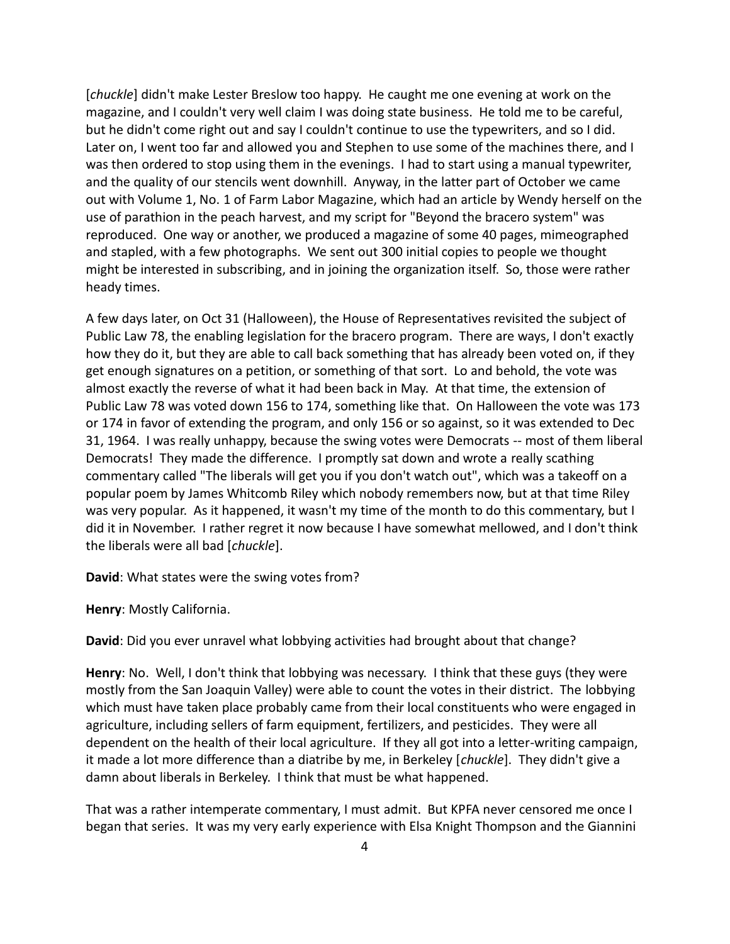[*chuckle*] didn't make Lester Breslow too happy. He caught me one evening at work on the magazine, and I couldn't very well claim I was doing state business. He told me to be careful, but he didn't come right out and say I couldn't continue to use the typewriters, and so I did. Later on, I went too far and allowed you and Stephen to use some of the machines there, and I was then ordered to stop using them in the evenings. I had to start using a manual typewriter, and the quality of our stencils went downhill. Anyway, in the latter part of October we came out with Volume 1, No. 1 of Farm Labor Magazine, which had an article by Wendy herself on the use of parathion in the peach harvest, and my script for "Beyond the bracero system" was reproduced. One way or another, we produced a magazine of some 40 pages, mimeographed and stapled, with a few photographs. We sent out 300 initial copies to people we thought might be interested in subscribing, and in joining the organization itself. So, those were rather heady times.

A few days later, on Oct 31 (Halloween), the House of Representatives revisited the subject of Public Law 78, the enabling legislation for the bracero program. There are ways, I don't exactly how they do it, but they are able to call back something that has already been voted on, if they get enough signatures on a petition, or something of that sort. Lo and behold, the vote was almost exactly the reverse of what it had been back in May. At that time, the extension of Public Law 78 was voted down 156 to 174, something like that. On Halloween the vote was 173 or 174 in favor of extending the program, and only 156 or so against, so it was extended to Dec 31, 1964. I was really unhappy, because the swing votes were Democrats -- most of them liberal Democrats! They made the difference. I promptly sat down and wrote a really scathing commentary called "The liberals will get you if you don't watch out", which was a takeoff on a popular poem by James Whitcomb Riley which nobody remembers now, but at that time Riley was very popular. As it happened, it wasn't my time of the month to do this commentary, but I did it in November. I rather regret it now because I have somewhat mellowed, and I don't think the liberals were all bad [*chuckle*].

**David**: What states were the swing votes from?

**Henry**: Mostly California.

**David**: Did you ever unravel what lobbying activities had brought about that change?

**Henry**: No. Well, I don't think that lobbying was necessary. I think that these guys (they were mostly from the San Joaquin Valley) were able to count the votes in their district. The lobbying which must have taken place probably came from their local constituents who were engaged in agriculture, including sellers of farm equipment, fertilizers, and pesticides. They were all dependent on the health of their local agriculture. If they all got into a letter-writing campaign, it made a lot more difference than a diatribe by me, in Berkeley [*chuckle*]. They didn't give a damn about liberals in Berkeley. I think that must be what happened.

That was a rather intemperate commentary, I must admit. But KPFA never censored me once I began that series. It was my very early experience with Elsa Knight Thompson and the Giannini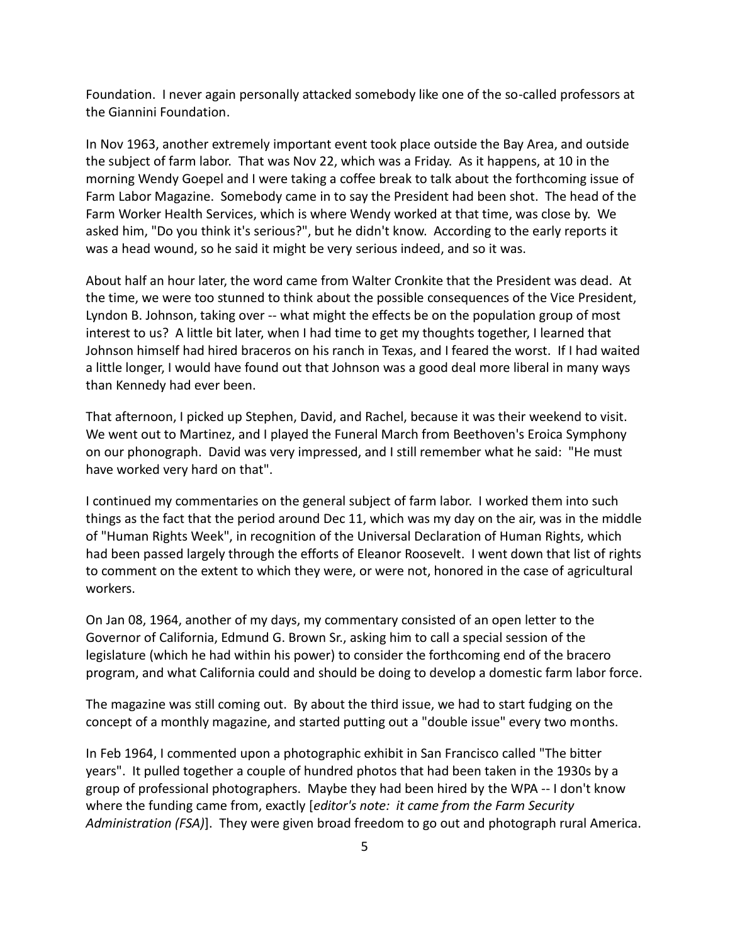Foundation. I never again personally attacked somebody like one of the so-called professors at the Giannini Foundation.

In Nov 1963, another extremely important event took place outside the Bay Area, and outside the subject of farm labor. That was Nov 22, which was a Friday. As it happens, at 10 in the morning Wendy Goepel and I were taking a coffee break to talk about the forthcoming issue of Farm Labor Magazine. Somebody came in to say the President had been shot. The head of the Farm Worker Health Services, which is where Wendy worked at that time, was close by. We asked him, "Do you think it's serious?", but he didn't know. According to the early reports it was a head wound, so he said it might be very serious indeed, and so it was.

About half an hour later, the word came from Walter Cronkite that the President was dead. At the time, we were too stunned to think about the possible consequences of the Vice President, Lyndon B. Johnson, taking over -- what might the effects be on the population group of most interest to us? A little bit later, when I had time to get my thoughts together, I learned that Johnson himself had hired braceros on his ranch in Texas, and I feared the worst. If I had waited a little longer, I would have found out that Johnson was a good deal more liberal in many ways than Kennedy had ever been.

That afternoon, I picked up Stephen, David, and Rachel, because it was their weekend to visit. We went out to Martinez, and I played the Funeral March from Beethoven's Eroica Symphony on our phonograph. David was very impressed, and I still remember what he said: "He must have worked very hard on that".

I continued my commentaries on the general subject of farm labor. I worked them into such things as the fact that the period around Dec 11, which was my day on the air, was in the middle of "Human Rights Week", in recognition of the Universal Declaration of Human Rights, which had been passed largely through the efforts of Eleanor Roosevelt. I went down that list of rights to comment on the extent to which they were, or were not, honored in the case of agricultural workers.

On Jan 08, 1964, another of my days, my commentary consisted of an open letter to the Governor of California, Edmund G. Brown Sr., asking him to call a special session of the legislature (which he had within his power) to consider the forthcoming end of the bracero program, and what California could and should be doing to develop a domestic farm labor force.

The magazine was still coming out. By about the third issue, we had to start fudging on the concept of a monthly magazine, and started putting out a "double issue" every two months.

In Feb 1964, I commented upon a photographic exhibit in San Francisco called "The bitter years". It pulled together a couple of hundred photos that had been taken in the 1930s by a group of professional photographers. Maybe they had been hired by the WPA -- I don't know where the funding came from, exactly [*editor's note: it came from the Farm Security Administration (FSA)*]. They were given broad freedom to go out and photograph rural America.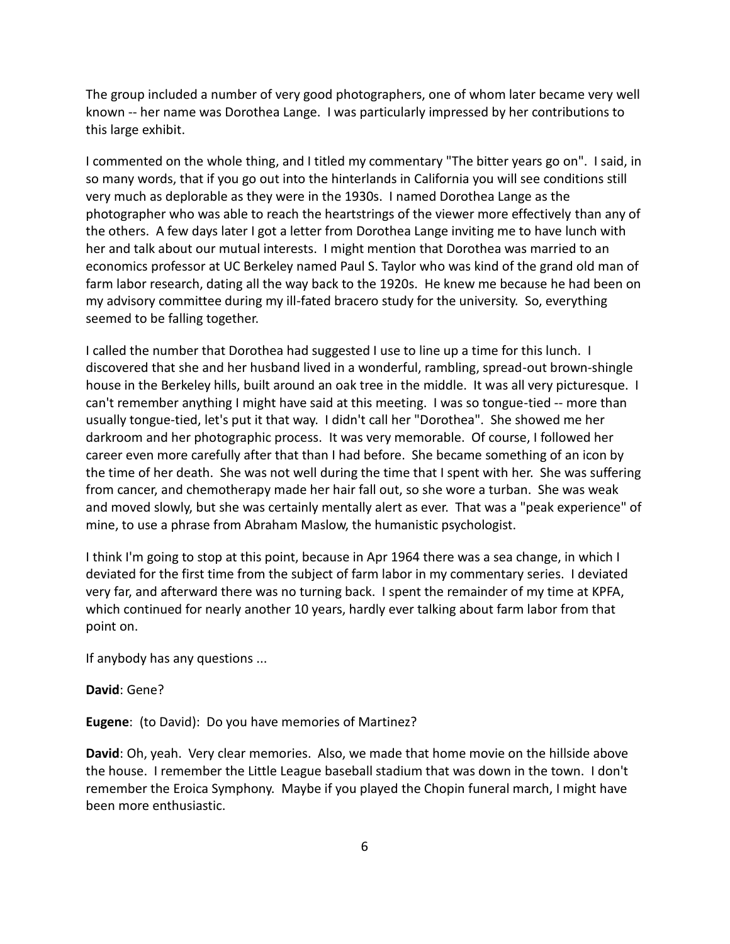The group included a number of very good photographers, one of whom later became very well known -- her name was Dorothea Lange. I was particularly impressed by her contributions to this large exhibit.

I commented on the whole thing, and I titled my commentary "The bitter years go on". I said, in so many words, that if you go out into the hinterlands in California you will see conditions still very much as deplorable as they were in the 1930s. I named Dorothea Lange as the photographer who was able to reach the heartstrings of the viewer more effectively than any of the others. A few days later I got a letter from Dorothea Lange inviting me to have lunch with her and talk about our mutual interests. I might mention that Dorothea was married to an economics professor at UC Berkeley named Paul S. Taylor who was kind of the grand old man of farm labor research, dating all the way back to the 1920s. He knew me because he had been on my advisory committee during my ill-fated bracero study for the university. So, everything seemed to be falling together.

I called the number that Dorothea had suggested I use to line up a time for this lunch. I discovered that she and her husband lived in a wonderful, rambling, spread-out brown-shingle house in the Berkeley hills, built around an oak tree in the middle. It was all very picturesque. I can't remember anything I might have said at this meeting. I was so tongue-tied -- more than usually tongue-tied, let's put it that way. I didn't call her "Dorothea". She showed me her darkroom and her photographic process. It was very memorable. Of course, I followed her career even more carefully after that than I had before. She became something of an icon by the time of her death. She was not well during the time that I spent with her. She was suffering from cancer, and chemotherapy made her hair fall out, so she wore a turban. She was weak and moved slowly, but she was certainly mentally alert as ever. That was a "peak experience" of mine, to use a phrase from Abraham Maslow, the humanistic psychologist.

I think I'm going to stop at this point, because in Apr 1964 there was a sea change, in which I deviated for the first time from the subject of farm labor in my commentary series. I deviated very far, and afterward there was no turning back. I spent the remainder of my time at KPFA, which continued for nearly another 10 years, hardly ever talking about farm labor from that point on.

If anybody has any questions ...

## **David**: Gene?

**Eugene**: (to David): Do you have memories of Martinez?

**David**: Oh, yeah. Very clear memories. Also, we made that home movie on the hillside above the house. I remember the Little League baseball stadium that was down in the town. I don't remember the Eroica Symphony. Maybe if you played the Chopin funeral march, I might have been more enthusiastic.